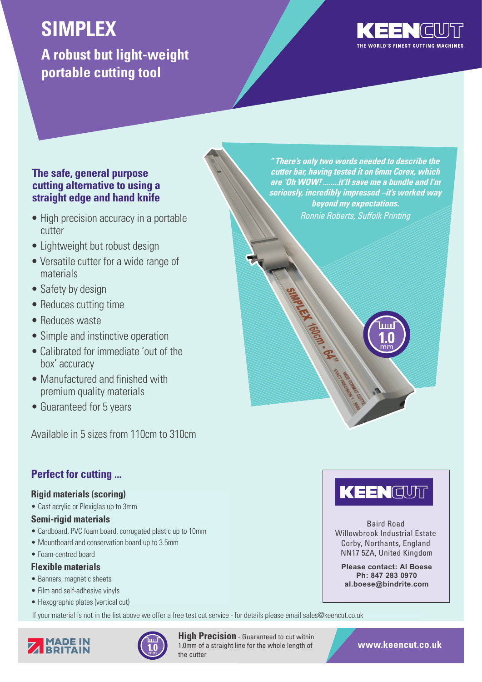# **SIMPLEX**

**A robust but light-weight portable cutting tool**



## **The safe, general purpose cutting alternative to using a straight edge and hand knife**

- High precision accuracy in a portable Role Ronnie Roberts, Suffolk Printing cutter
- Lightweight but robust design
- Versatile cutter for a wide range of materials
- Safety by design
- Reduces cutting time
- Reduces waste
- Simple and instinctive operation
- Calibrated for immediate 'out of the box' accuracy
- Manufactured and finished with premium quality materials
- Guaranteed for 5 years

Available in 5 sizes from 110cm to 310cm

# **Perfect for cutting ...**

# **Rigid materials (scoring)**

• Cast acrylic or Plexiglas up to 3mm

# **Semi-rigid materials**

- Cardboard, PVC foam board, corrugated plastic up to 10mm
- Mountboard and conservation board up to 3.5mm
- Foam-centred board

### **Flexible materials**

- Banners, magnetic sheets
- Film and self-adhesive vinyls
- Flexographic plates (vertical cut)

If your material is not in the list above we offer a free test cut service - for details please email sales@keencut.co.uk





**High Precision** - Guaranteed to cut within 1.0mm of a straight line for the whole length of the cutter

**"There's only two words needed to describe the cutter bar, having tested it on 6mm Corex, which are 'Oh WOW!'........it'll save me a bundle and I'm seriously, incredibly impressed –it's worked way beyond my expectations.**

SAMPLER 1800N . 64Y.



mm

Baird Road Willowbrook Industrial Estate Corby, Northants, England NN17 5ZA, United Kingdom

**Please contact: Al Boese Ph: 847 283 0970 al.boese@bindrite.com**

**www.keencut.co.uk**